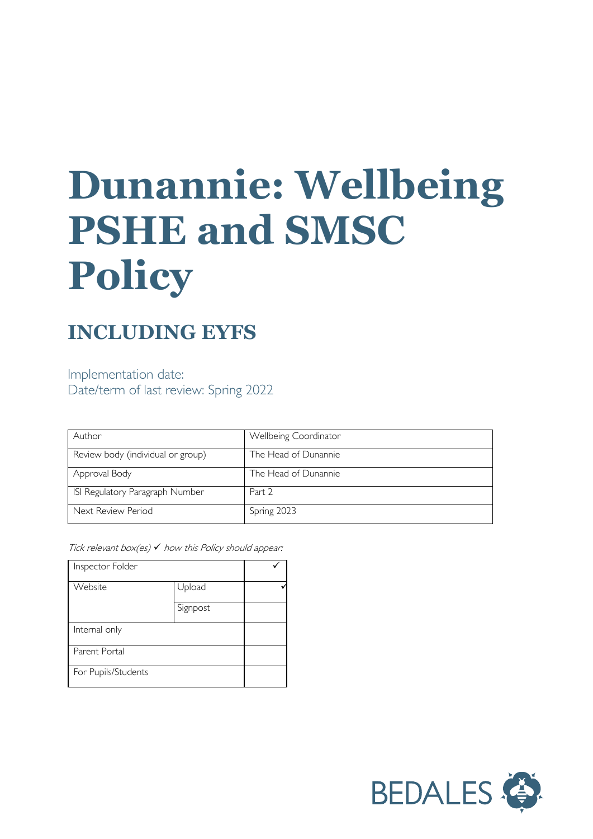# **Dunannie: Wellbeing PSHE and SMSC Policy**

# **INCLUDING EYFS**

Implementation date: Date/term of last review: Spring 2022

| Author                            | Wellbeing Coordinator |
|-----------------------------------|-----------------------|
| Review body (individual or group) | The Head of Dunannie  |
| Approval Body                     | The Head of Dunannie  |
| ISI Regulatory Paragraph Number   | Part 2                |
| Next Review Period                | Spring 2023           |

Tick relevant box(es)  $\checkmark$  how this Policy should appear:

| Inspector Folder    |          |  |
|---------------------|----------|--|
| Website             | Upload   |  |
|                     | Signpost |  |
| Internal only       |          |  |
| Parent Portal       |          |  |
| For Pupils/Students |          |  |

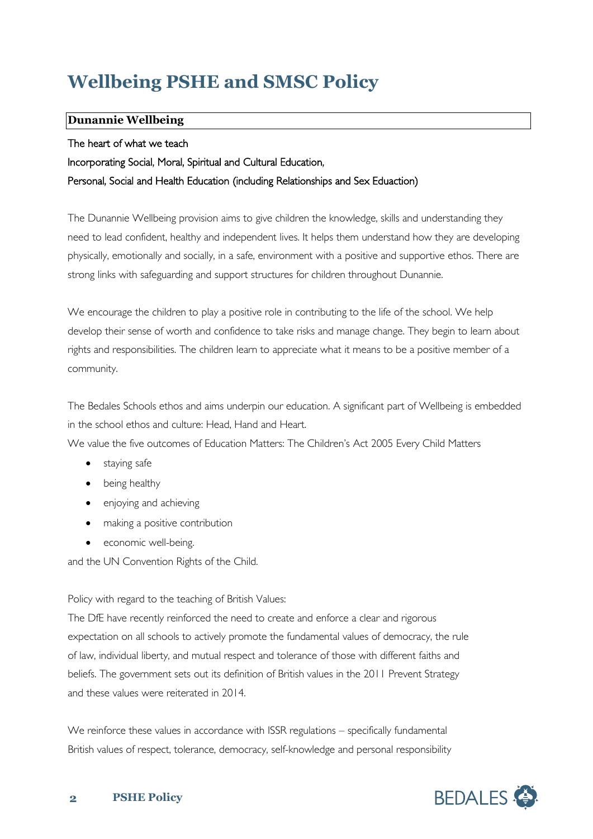# **Wellbeing PSHE and SMSC Policy**

#### **Dunannie Wellbeing**

#### The heart of what we teach

Incorporating Social, Moral, Spiritual and Cultural Education,

#### Personal, Social and Health Education (including Relationships and Sex Eduaction)

The Dunannie Wellbeing provision aims to give children the knowledge, skills and understanding they need to lead confident, healthy and independent lives. It helps them understand how they are developing physically, emotionally and socially, in a safe, environment with a positive and supportive ethos. There are strong links with safeguarding and support structures for children throughout Dunannie.

We encourage the children to play a positive role in contributing to the life of the school. We help develop their sense of worth and confidence to take risks and manage change. They begin to learn about rights and responsibilities. The children learn to appreciate what it means to be a positive member of a community.

The Bedales Schools ethos and aims underpin our education. A significant part of Wellbeing is embedded in the school ethos and culture: Head, Hand and Heart.

We value the five outcomes of Education Matters: The Children's Act 2005 Every Child Matters

- staying safe
- being healthy
- enjoying and achieving
- making a positive contribution
- economic well-being.

and the UN Convention Rights of the Child.

#### Policy with regard to the teaching of British Values:

The DfE have recently reinforced the need to create and enforce a clear and rigorous expectation on all schools to actively promote the fundamental values of democracy, the rule of law, individual liberty, and mutual respect and tolerance of those with different faiths and beliefs. The government sets out its definition of British values in the 2011 Prevent Strategy and these values were reiterated in 2014.

We reinforce these values in accordance with ISSR regulations – specifically fundamental British values of respect, tolerance, democracy, self-knowledge and personal responsibility

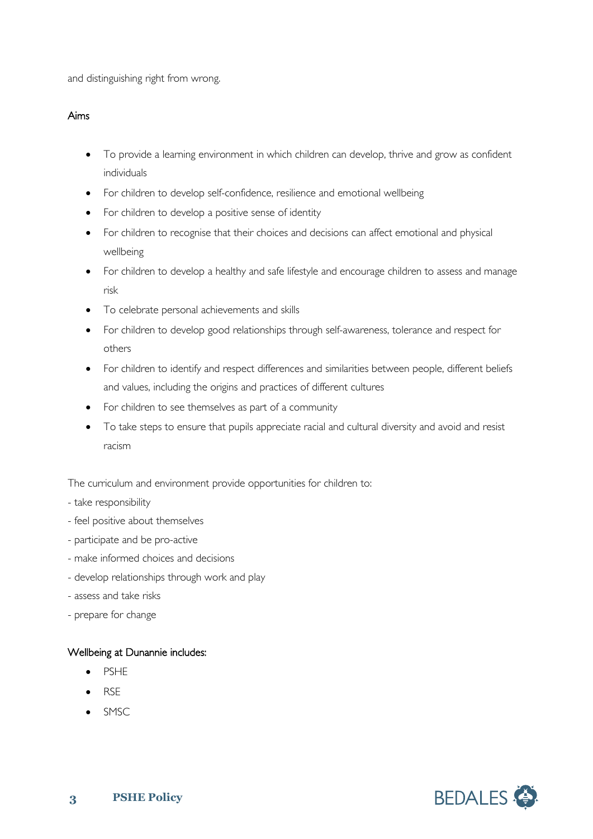and distinguishing right from wrong.

#### Aims

- To provide a learning environment in which children can develop, thrive and grow as confident individuals
- For children to develop self-confidence, resilience and emotional wellbeing
- For children to develop a positive sense of identity
- For children to recognise that their choices and decisions can affect emotional and physical wellbeing
- For children to develop a healthy and safe lifestyle and encourage children to assess and manage risk
- To celebrate personal achievements and skills
- For children to develop good relationships through self-awareness, tolerance and respect for others
- For children to identify and respect differences and similarities between people, different beliefs and values, including the origins and practices of different cultures
- For children to see themselves as part of a community
- To take steps to ensure that pupils appreciate racial and cultural diversity and avoid and resist racism

The curriculum and environment provide opportunities for children to:

- take responsibility
- feel positive about themselves
- participate and be pro-active
- make informed choices and decisions
- develop relationships through work and play
- assess and take risks
- prepare for change

#### Wellbeing at Dunannie includes:

- PSHE
- RSE
- SMSC

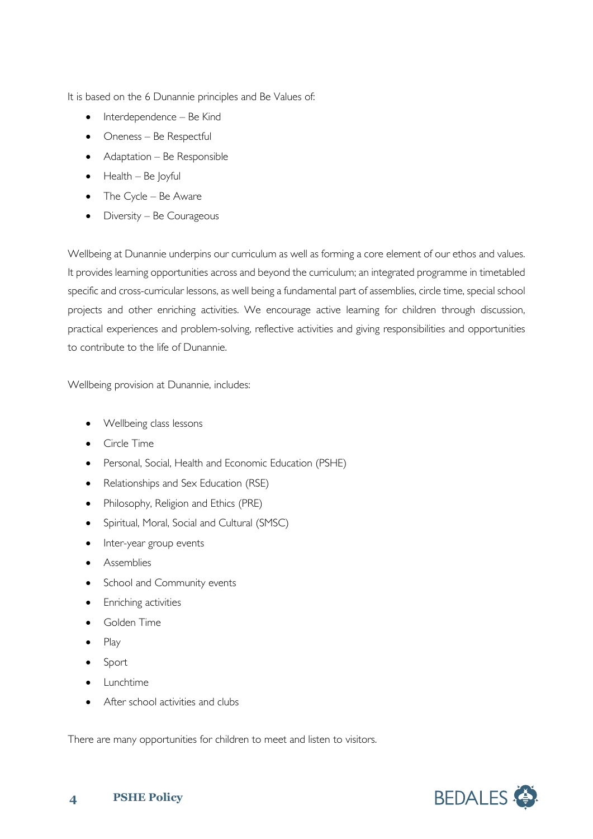It is based on the 6 Dunannie principles and Be Values of:

- Interdependence Be Kind
- Oneness Be Respectful
- Adaptation Be Responsible
- $\bullet$  Health Be Joyful
- The Cycle Be Aware
- Diversity Be Courageous

Wellbeing at Dunannie underpins our curriculum as well as forming a core element of our ethos and values. It provides learning opportunities across and beyond the curriculum; an integrated programme in timetabled specific and cross-curricular lessons, as well being a fundamental part of assemblies, circle time, special school projects and other enriching activities. We encourage active learning for children through discussion, practical experiences and problem-solving, reflective activities and giving responsibilities and opportunities to contribute to the life of Dunannie.

Wellbeing provision at Dunannie, includes:

- Wellbeing class lessons
- Circle Time
- Personal, Social, Health and Economic Education (PSHE)
- Relationships and Sex Education (RSE)
- Philosophy, Religion and Ethics (PRE)
- Spiritual, Moral, Social and Cultural (SMSC)
- Inter-year group events
- **Assemblies**
- School and Community events
- Enriching activities
- Golden Time
- Play
- Sport
- Lunchtime
- After school activities and clubs

There are many opportunities for children to meet and listen to visitors.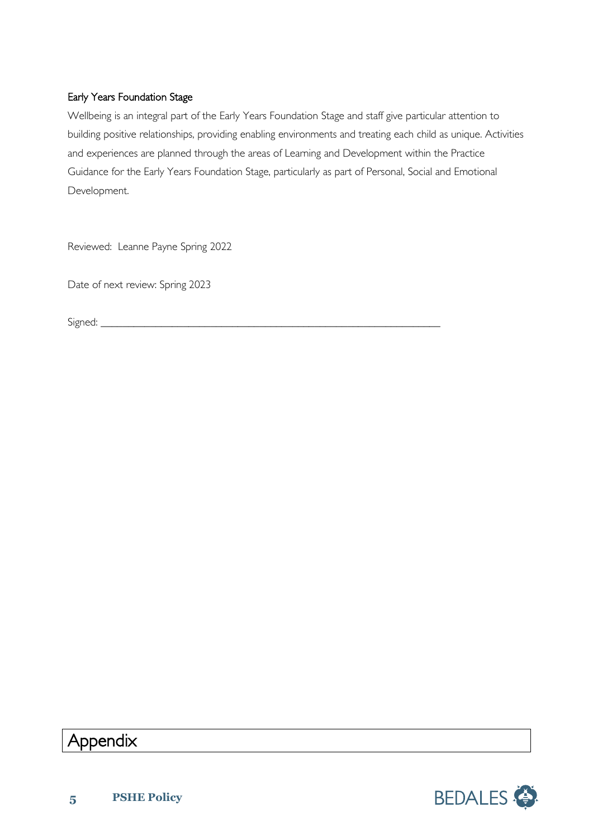#### Early Years Foundation Stage

Wellbeing is an integral part of the Early Years Foundation Stage and staff give particular attention to building positive relationships, providing enabling environments and treating each child as unique. Activities and experiences are planned through the areas of Learning and Development within the Practice Guidance for the Early Years Foundation Stage, particularly as part of Personal, Social and Emotional Development.

Reviewed: Leanne Payne Spring 2022

Date of next review: Spring 2023

Signed: \_\_\_\_\_\_\_\_\_\_\_\_\_\_\_\_\_\_\_\_\_\_\_\_\_\_\_\_\_\_\_\_\_\_\_\_\_\_\_\_\_\_\_\_\_\_\_\_\_\_\_\_\_\_\_\_\_\_\_\_\_\_

## Appendix

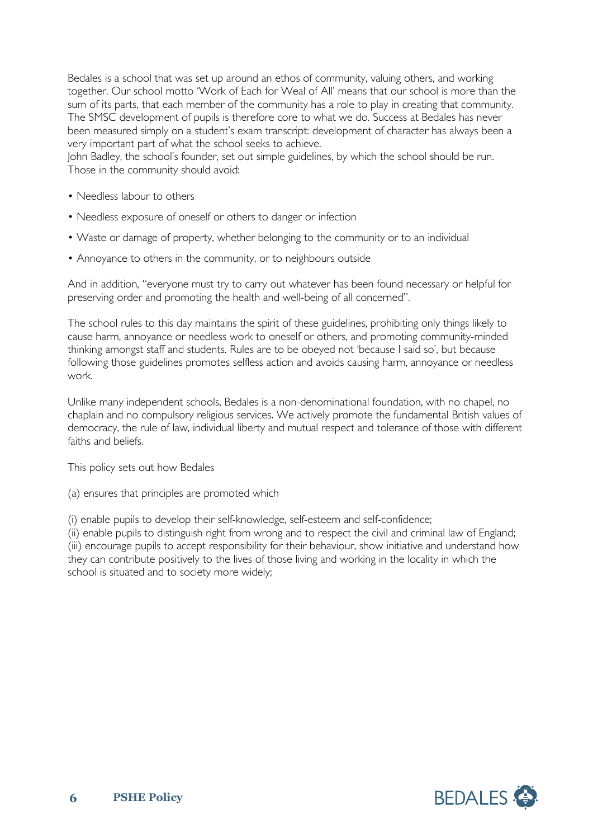Bedales is a school that was set up around an ethos of community, valuing others, and working together. Our school motto 'Work of Each for Weal of All' means that our school is more than the sum of its parts, that each member of the community has a role to play in creating that community. The SMSC development of pupils is therefore core to what we do. Success at Bedales has never been measured simply on a student's exam transcript: development of character has always been a very important part of what the school seeks to achieve.

John Badley, the school's founder, set out simple guidelines, by which the school should be run. Those in the community should avoid:

- Needless labour to others
- Needless exposure of oneself or others to danger or infection
- Waste or damage of property, whether belonging to the community or to an individual
- Annoyance to others in the community, or to neighbours outside

And in addition, "everyone must try to carry out whatever has been found necessary or helpful for preserving order and promoting the health and well-being of all concerned".

The school rules to this day maintains the spirit of these guidelines, prohibiting only things likely to cause harm, annoyance or needless work to oneself or others, and promoting community-minded thinking amongst staff and students. Rules are to be obeyed not 'because I said so', but because following those guidelines promotes selfless action and avoids causing harm, annoyance or needless work.

Unlike many independent schools, Bedales is a non-denominational foundation, with no chapel, no chaplain and no compulsory religious services. We actively promote the fundamental British values of democracy, the rule of law, individual liberty and mutual respect and tolerance of those with different faiths and beliefs.

This policy sets out how Bedales

(a) ensures that principles are promoted which

(i) enable pupils to develop their self-knowledge, self-esteem and self-confidence;

(ii) enable pupils to distinguish right from wrong and to respect the civil and criminal law of England; (iii) encourage pupils to accept responsibility for their behaviour, show initiative and understand how they can contribute positively to the lives of those living and working in the locality in which the school is situated and to society more widely;